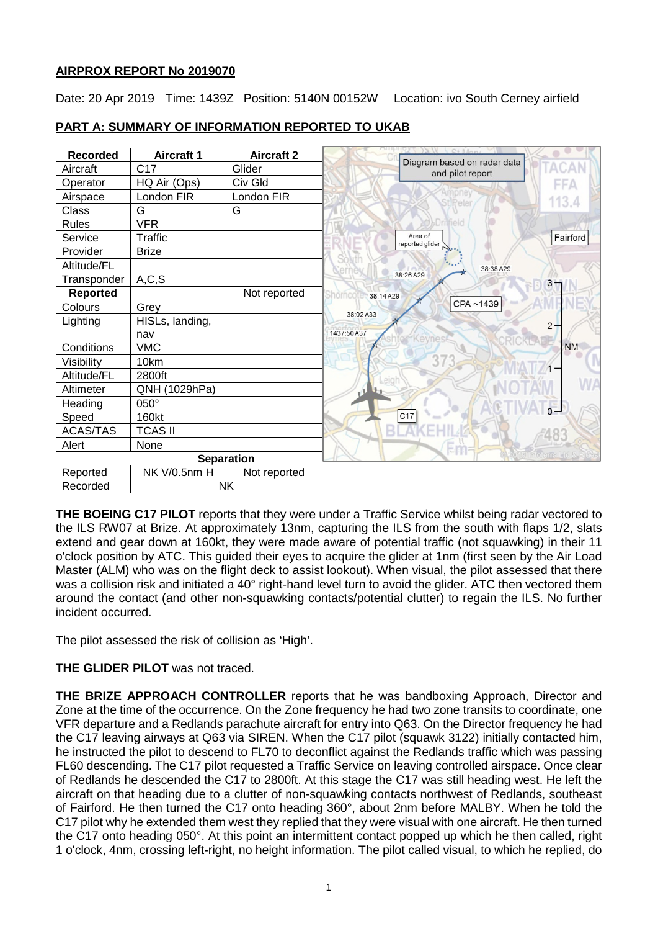# **AIRPROX REPORT No 2019070**

Date: 20 Apr 2019 Time: 1439Z Position: 5140N 00152W Location: ivo South Cerney airfield

| <b>Recorded</b>       | <b>Aircraft 1</b> | <b>Aircraft 2</b> |                                                 |
|-----------------------|-------------------|-------------------|-------------------------------------------------|
| Aircraft              | C <sub>17</sub>   | Glider            | Diagram based on radar data<br>and pilot report |
| Operator              | HQ Air (Ops)      | Civ Gld           | FFA                                             |
| Airspace              | London FIR        | London FIR        | 113.4<br><b>Stilleter</b>                       |
| Class                 | G                 | G                 |                                                 |
| <b>Rules</b>          | <b>VFR</b>        |                   | Dri field                                       |
| Service               | Traffic           |                   | Area of<br>Fairford<br>reported glider          |
| Provider              | <b>Brize</b>      |                   |                                                 |
| Altitude/FL           |                   |                   | 38:38 A29                                       |
| Transponder           | A, C, S           |                   | 38:26 A29<br>$3 -$                              |
| <b>Reported</b>       |                   | Not reported      | Shorncon<br>38:14 A29                           |
| Colours               | Grey              |                   | CPA~1439<br>38:02 A33                           |
| Lighting              | HISLs, landing,   |                   | $\overline{c}$                                  |
|                       | nav               |                   | 1437:50 A37                                     |
| Conditions            | <b>VMC</b>        |                   | <b>NM</b>                                       |
| Visibility            | 10km              |                   | $\overline{3}$                                  |
| Altitude/FL           | 2800ft            |                   |                                                 |
| Altimeter             | QNH (1029hPa)     |                   |                                                 |
| Heading               | 050°              |                   | $\overline{0}$                                  |
| Speed                 | 160kt             |                   | C17                                             |
| ACAS/TAS              | <b>TCAS II</b>    |                   |                                                 |
| Alert                 | None              |                   |                                                 |
| <b>Separation</b>     |                   |                   | foterra Lite &                                  |
| Reported              | NK V/0.5nm H      | Not reported      |                                                 |
| <b>NK</b><br>Recorded |                   |                   |                                                 |

# **PART A: SUMMARY OF INFORMATION REPORTED TO UKAB**

**THE BOEING C17 PILOT** reports that they were under a Traffic Service whilst being radar vectored to the ILS RW07 at Brize. At approximately 13nm, capturing the ILS from the south with flaps 1/2, slats extend and gear down at 160kt, they were made aware of potential traffic (not squawking) in their 11 o'clock position by ATC. This guided their eyes to acquire the glider at 1nm (first seen by the Air Load Master (ALM) who was on the flight deck to assist lookout). When visual, the pilot assessed that there was a collision risk and initiated a 40° right-hand level turn to avoid the glider. ATC then vectored them around the contact (and other non-squawking contacts/potential clutter) to regain the ILS. No further incident occurred.

The pilot assessed the risk of collision as 'High'.

# **THE GLIDER PILOT** was not traced.

**THE BRIZE APPROACH CONTROLLER** reports that he was bandboxing Approach, Director and Zone at the time of the occurrence. On the Zone frequency he had two zone transits to coordinate, one VFR departure and a Redlands parachute aircraft for entry into Q63. On the Director frequency he had the C17 leaving airways at Q63 via SIREN. When the C17 pilot (squawk 3122) initially contacted him, he instructed the pilot to descend to FL70 to deconflict against the Redlands traffic which was passing FL60 descending. The C17 pilot requested a Traffic Service on leaving controlled airspace. Once clear of Redlands he descended the C17 to 2800ft. At this stage the C17 was still heading west. He left the aircraft on that heading due to a clutter of non-squawking contacts northwest of Redlands, southeast of Fairford. He then turned the C17 onto heading 360°, about 2nm before MALBY. When he told the C17 pilot why he extended them west they replied that they were visual with one aircraft. He then turned the C17 onto heading 050°. At this point an intermittent contact popped up which he then called, right 1 o'clock, 4nm, crossing left-right, no height information. The pilot called visual, to which he replied, do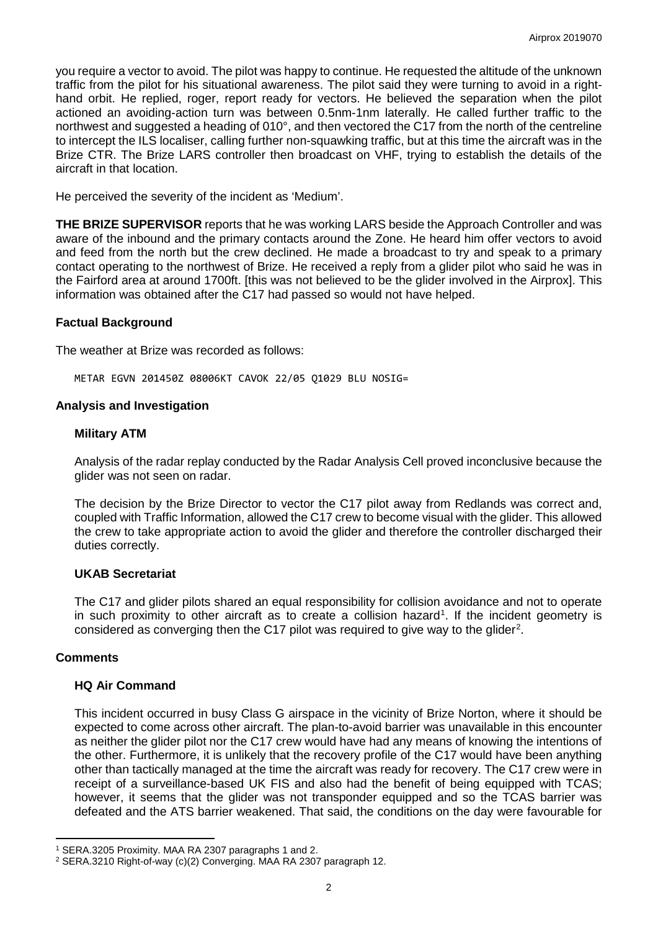you require a vector to avoid. The pilot was happy to continue. He requested the altitude of the unknown traffic from the pilot for his situational awareness. The pilot said they were turning to avoid in a righthand orbit. He replied, roger, report ready for vectors. He believed the separation when the pilot actioned an avoiding-action turn was between 0.5nm-1nm laterally. He called further traffic to the northwest and suggested a heading of 010°, and then vectored the C17 from the north of the centreline to intercept the ILS localiser, calling further non-squawking traffic, but at this time the aircraft was in the Brize CTR. The Brize LARS controller then broadcast on VHF, trying to establish the details of the aircraft in that location.

He perceived the severity of the incident as 'Medium'.

**THE BRIZE SUPERVISOR** reports that he was working LARS beside the Approach Controller and was aware of the inbound and the primary contacts around the Zone. He heard him offer vectors to avoid and feed from the north but the crew declined. He made a broadcast to try and speak to a primary contact operating to the northwest of Brize. He received a reply from a glider pilot who said he was in the Fairford area at around 1700ft. [this was not believed to be the glider involved in the Airprox]. This information was obtained after the C17 had passed so would not have helped.

# **Factual Background**

The weather at Brize was recorded as follows:

METAR EGVN 201450Z 08006KT CAVOK 22/05 Q1029 BLU NOSIG=

## **Analysis and Investigation**

## **Military ATM**

Analysis of the radar replay conducted by the Radar Analysis Cell proved inconclusive because the glider was not seen on radar.

The decision by the Brize Director to vector the C17 pilot away from Redlands was correct and, coupled with Traffic Information, allowed the C17 crew to become visual with the glider. This allowed the crew to take appropriate action to avoid the glider and therefore the controller discharged their duties correctly.

## **UKAB Secretariat**

The C17 and glider pilots shared an equal responsibility for collision avoidance and not to operate in such proximity to other aircraft as to create a collision hazard<sup>[1](#page-1-0)</sup>. If the incident geometry is considered as converging then the C17 pilot was required to give way to the glider<sup>[2](#page-1-1)</sup>.

## **Comments**

l

## **HQ Air Command**

This incident occurred in busy Class G airspace in the vicinity of Brize Norton, where it should be expected to come across other aircraft. The plan-to-avoid barrier was unavailable in this encounter as neither the glider pilot nor the C17 crew would have had any means of knowing the intentions of the other. Furthermore, it is unlikely that the recovery profile of the C17 would have been anything other than tactically managed at the time the aircraft was ready for recovery. The C17 crew were in receipt of a surveillance-based UK FIS and also had the benefit of being equipped with TCAS; however, it seems that the glider was not transponder equipped and so the TCAS barrier was defeated and the ATS barrier weakened. That said, the conditions on the day were favourable for

<span id="page-1-0"></span><sup>1</sup> SERA.3205 Proximity. MAA RA 2307 paragraphs 1 and 2.

<span id="page-1-1"></span><sup>2</sup> SERA.3210 Right-of-way (c)(2) Converging. MAA RA 2307 paragraph 12.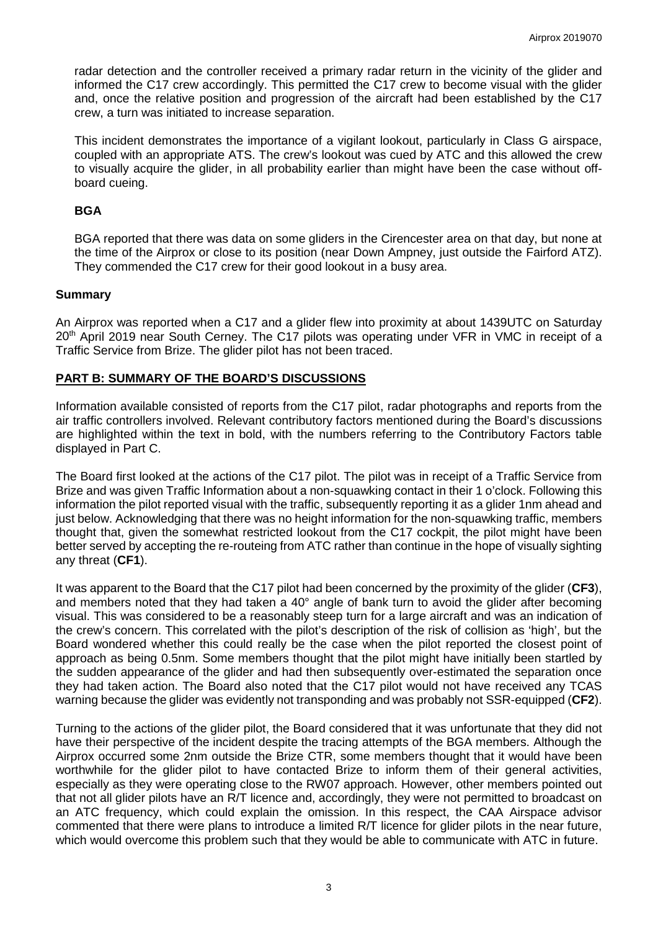radar detection and the controller received a primary radar return in the vicinity of the glider and informed the C17 crew accordingly. This permitted the C17 crew to become visual with the glider and, once the relative position and progression of the aircraft had been established by the C17 crew, a turn was initiated to increase separation.

This incident demonstrates the importance of a vigilant lookout, particularly in Class G airspace, coupled with an appropriate ATS. The crew's lookout was cued by ATC and this allowed the crew to visually acquire the glider, in all probability earlier than might have been the case without offboard cueing.

## **BGA**

BGA reported that there was data on some gliders in the Cirencester area on that day, but none at the time of the Airprox or close to its position (near Down Ampney, just outside the Fairford ATZ). They commended the C17 crew for their good lookout in a busy area.

# **Summary**

An Airprox was reported when a C17 and a glider flew into proximity at about 1439UTC on Saturday 20<sup>th</sup> April 2019 near South Cerney. The C17 pilots was operating under VFR in VMC in receipt of a Traffic Service from Brize. The glider pilot has not been traced.

# **PART B: SUMMARY OF THE BOARD'S DISCUSSIONS**

Information available consisted of reports from the C17 pilot, radar photographs and reports from the air traffic controllers involved. Relevant contributory factors mentioned during the Board's discussions are highlighted within the text in bold, with the numbers referring to the Contributory Factors table displayed in Part C.

The Board first looked at the actions of the C17 pilot. The pilot was in receipt of a Traffic Service from Brize and was given Traffic Information about a non-squawking contact in their 1 o'clock. Following this information the pilot reported visual with the traffic, subsequently reporting it as a glider 1nm ahead and just below. Acknowledging that there was no height information for the non-squawking traffic, members thought that, given the somewhat restricted lookout from the C17 cockpit, the pilot might have been better served by accepting the re-routeing from ATC rather than continue in the hope of visually sighting any threat (**CF1**).

It was apparent to the Board that the C17 pilot had been concerned by the proximity of the glider (**CF3**), and members noted that they had taken a 40° angle of bank turn to avoid the glider after becoming visual. This was considered to be a reasonably steep turn for a large aircraft and was an indication of the crew's concern. This correlated with the pilot's description of the risk of collision as 'high', but the Board wondered whether this could really be the case when the pilot reported the closest point of approach as being 0.5nm. Some members thought that the pilot might have initially been startled by the sudden appearance of the glider and had then subsequently over-estimated the separation once they had taken action. The Board also noted that the C17 pilot would not have received any TCAS warning because the glider was evidently not transponding and was probably not SSR-equipped (**CF2**).

Turning to the actions of the glider pilot, the Board considered that it was unfortunate that they did not have their perspective of the incident despite the tracing attempts of the BGA members. Although the Airprox occurred some 2nm outside the Brize CTR, some members thought that it would have been worthwhile for the glider pilot to have contacted Brize to inform them of their general activities, especially as they were operating close to the RW07 approach. However, other members pointed out that not all glider pilots have an R/T licence and, accordingly, they were not permitted to broadcast on an ATC frequency, which could explain the omission. In this respect, the CAA Airspace advisor commented that there were plans to introduce a limited R/T licence for glider pilots in the near future, which would overcome this problem such that they would be able to communicate with ATC in future.